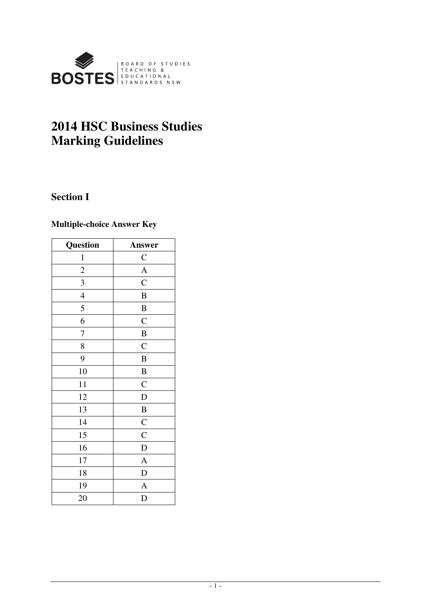

# **2014 HSC Business Studies Marking Guidelines**

# **Section I**

# **Multiple-choice Answer Key**

| Question                | Answer         |
|-------------------------|----------------|
| $\mathbf{1}$            | $\mathbf{C}$   |
| $\overline{c}$          | $\overline{A}$ |
| $\overline{\mathbf{3}}$ | $\overline{C}$ |
| $\overline{4}$          | $\bf{B}$       |
| 5                       | $\bf{B}$       |
| 6                       | $\mathbf C$    |
| 7                       | $\overline{B}$ |
| 8                       | $\mathbf C$    |
| 9                       | $\bf{B}$       |
| 10                      | $\, {\bf B}$   |
| 11                      | $\mathsf{C}$   |
| 12                      | $\mathbf D$    |
| 13                      | $\overline{B}$ |
| 14                      | $\overline{C}$ |
| 15                      | $\overline{C}$ |
| 16                      | $\mathbf D$    |
| 17                      | $\overline{A}$ |
| 18                      | $\mathbf D$    |
| 19                      | $\mathbf{A}$   |
| 20                      | D              |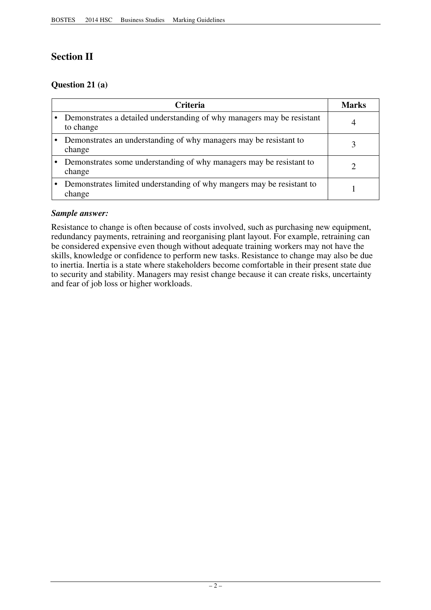# **Section II**

# **Question 21 (a)**

| <b>Criteria</b>                                                                     | <b>Marks</b> |
|-------------------------------------------------------------------------------------|--------------|
| Demonstrates a detailed understanding of why managers may be resistant<br>to change | 4            |
| Demonstrates an understanding of why managers may be resistant to<br>change         |              |
| Demonstrates some understanding of why managers may be resistant to<br>change       |              |
| Demonstrates limited understanding of why mangers may be resistant to<br>change     |              |

# *Sample answer:*

Resistance to change is often because of costs involved, such as purchasing new equipment, redundancy payments, retraining and reorganising plant layout. For example, retraining can be considered expensive even though without adequate training workers may not have the skills, knowledge or confidence to perform new tasks. Resistance to change may also be due to inertia. Inertia is a state where stakeholders become comfortable in their present state due to security and stability. Managers may resist change because it can create risks, uncertainty and fear of job loss or higher workloads.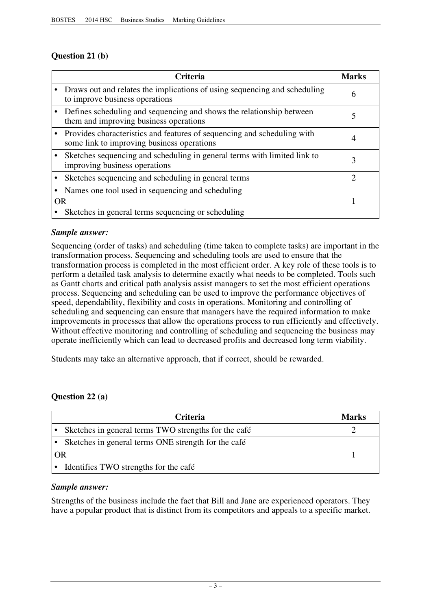# **Question 21 (b)**

|           | <b>Criteria</b>                                                                                                       | <b>Marks</b> |
|-----------|-----------------------------------------------------------------------------------------------------------------------|--------------|
|           | Draws out and relates the implications of using sequencing and scheduling<br>to improve business operations           | 6            |
|           | Defines scheduling and sequencing and shows the relationship between<br>them and improving business operations        |              |
|           | Provides characteristics and features of sequencing and scheduling with<br>some link to improving business operations |              |
|           | Sketches sequencing and scheduling in general terms with limited link to<br>improving business operations             | 3            |
|           | Sketches sequencing and scheduling in general terms                                                                   | ႒            |
|           | Names one tool used in sequencing and scheduling                                                                      |              |
| <b>OR</b> |                                                                                                                       |              |
|           | Sketches in general terms sequencing or scheduling                                                                    |              |

# *Sample answer:*

Sequencing (order of tasks) and scheduling (time taken to complete tasks) are important in the transformation process. Sequencing and scheduling tools are used to ensure that the transformation process is completed in the most efficient order. A key role of these tools is to perform a detailed task analysis to determine exactly what needs to be completed. Tools such as Gantt charts and critical path analysis assist managers to set the most efficient operations process. Sequencing and scheduling can be used to improve the performance objectives of speed, dependability, flexibility and costs in operations. Monitoring and controlling of scheduling and sequencing can ensure that managers have the required information to make improvements in processes that allow the operations process to run efficiently and effectively. Without effective monitoring and controlling of scheduling and sequencing the business may operate inefficiently which can lead to decreased profits and decreased long term viability.

Students may take an alternative approach, that if correct, should be rewarded.

# **Question 22 (a)**

|    | <b>Criteria</b>                                       | <b>Marks</b> |
|----|-------------------------------------------------------|--------------|
|    | Sketches in general terms TWO strengths for the café  |              |
|    | • Sketches in general terms ONE strength for the café |              |
| OR |                                                       |              |
|    | Identifies TWO strengths for the café                 |              |

# *Sample answer:*

Strengths of the business include the fact that Bill and Jane are experienced operators. They have a popular product that is distinct from its competitors and appeals to a specific market.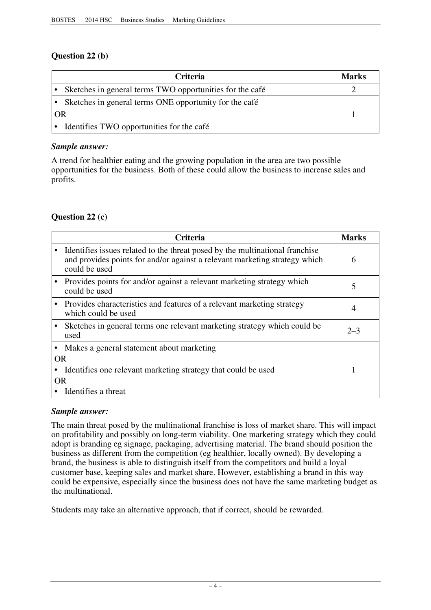# **Question 22 (b)**

| <b>Criteria</b>                                          | Marks |
|----------------------------------------------------------|-------|
| Sketches in general terms TWO opportunities for the café |       |
| Sketches in general terms ONE opportunity for the café   |       |
| OR                                                       |       |
| Identifies TWO opportunities for the café                |       |

#### *Sample answer:*

A trend for healthier eating and the growing population in the area are two possible opportunities for the business. Both of these could allow the business to increase sales and profits.

# **Question 22 (c)**

|                        | Criteria                                                                                                                                                                    | <b>Marks</b> |
|------------------------|-----------------------------------------------------------------------------------------------------------------------------------------------------------------------------|--------------|
|                        | Identifies issues related to the threat posed by the multinational franchise<br>and provides points for and/or against a relevant marketing strategy which<br>could be used | 6            |
|                        | Provides points for and/or against a relevant marketing strategy which<br>could be used                                                                                     | 5            |
|                        | Provides characteristics and features of a relevant marketing strategy<br>which could be used                                                                               | 4            |
|                        | Sketches in general terms one relevant marketing strategy which could be<br>used                                                                                            | $2 - 3$      |
| $\bullet$<br><b>OR</b> | Makes a general statement about marketing                                                                                                                                   |              |
|                        | Identifies one relevant marketing strategy that could be used                                                                                                               |              |
| 0R                     |                                                                                                                                                                             |              |
|                        | Identifies a threat                                                                                                                                                         |              |

#### *Sample answer:*

The main threat posed by the multinational franchise is loss of market share. This will impact on profitability and possibly on long-term viability. One marketing strategy which they could adopt is branding eg signage, packaging, advertising material. The brand should position the business as different from the competition (eg healthier, locally owned). By developing a brand, the business is able to distinguish itself from the competitors and build a loyal customer base, keeping sales and market share. However, establishing a brand in this way could be expensive, especially since the business does not have the same marketing budget as the multinational.

Students may take an alternative approach, that if correct, should be rewarded.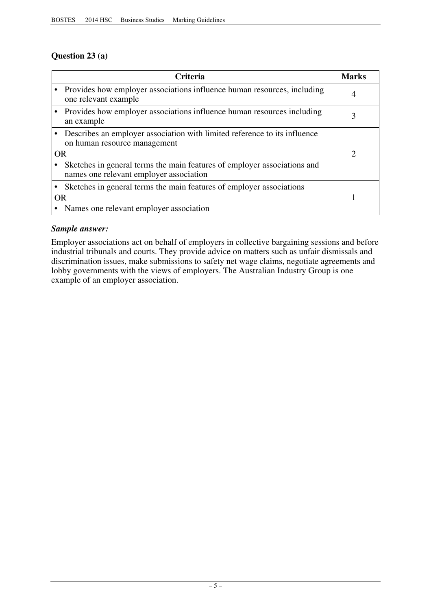# **Question 23 (a)**

|           | <b>Criteria</b>                                                                                                     | <b>Marks</b>                |
|-----------|---------------------------------------------------------------------------------------------------------------------|-----------------------------|
|           | Provides how employer associations influence human resources, including<br>one relevant example                     | 4                           |
|           | Provides how employer associations influence human resources including<br>an example                                |                             |
|           | Describes an employer association with limited reference to its influence<br>on human resource management           |                             |
| <b>OR</b> |                                                                                                                     | $\mathcal{D}_{\mathcal{L}}$ |
|           | Sketches in general terms the main features of employer associations and<br>names one relevant employer association |                             |
|           | Sketches in general terms the main features of employer associations                                                |                             |
| <b>OR</b> |                                                                                                                     |                             |
|           | Names one relevant employer association                                                                             |                             |

# *Sample answer:*

Employer associations act on behalf of employers in collective bargaining sessions and before industrial tribunals and courts. They provide advice on matters such as unfair dismissals and discrimination issues, make submissions to safety net wage claims, negotiate agreements and lobby governments with the views of employers. The Australian Industry Group is one example of an employer association.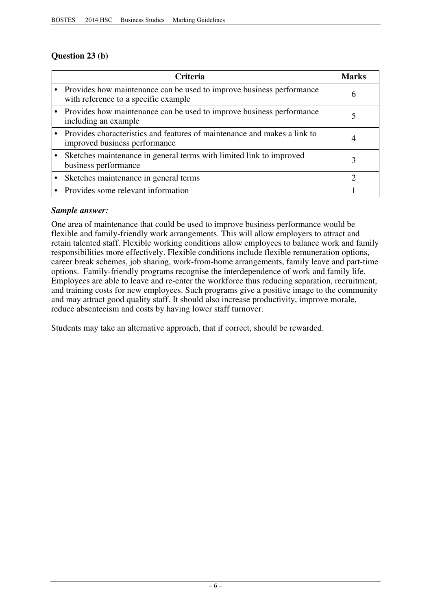# **Question 23 (b)**

| <b>Criteria</b>                                                                                                 | Marks |
|-----------------------------------------------------------------------------------------------------------------|-------|
| • Provides how maintenance can be used to improve business performance<br>with reference to a specific example. | h     |
| • Provides how maintenance can be used to improve business performance<br>including an example                  |       |
| • Provides characteristics and features of maintenance and makes a link to<br>improved business performance     |       |
| Sketches maintenance in general terms with limited link to improved<br>business performance                     |       |
| Sketches maintenance in general terms                                                                           |       |
| Provides some relevant information                                                                              |       |

# *Sample answer:*

One area of maintenance that could be used to improve business performance would be flexible and family-friendly work arrangements. This will allow employers to attract and retain talented staff. Flexible working conditions allow employees to balance work and family responsibilities more effectively. Flexible conditions include flexible remuneration options, career break schemes, job sharing, work-from-home arrangements, family leave and part-time options. Family-friendly programs recognise the interdependence of work and family life. Employees are able to leave and re-enter the workforce thus reducing separation, recruitment, and training costs for new employees. Such programs give a positive image to the community and may attract good quality staff. It should also increase productivity, improve morale, reduce absenteeism and costs by having lower staff turnover.

Students may take an alternative approach, that if correct, should be rewarded.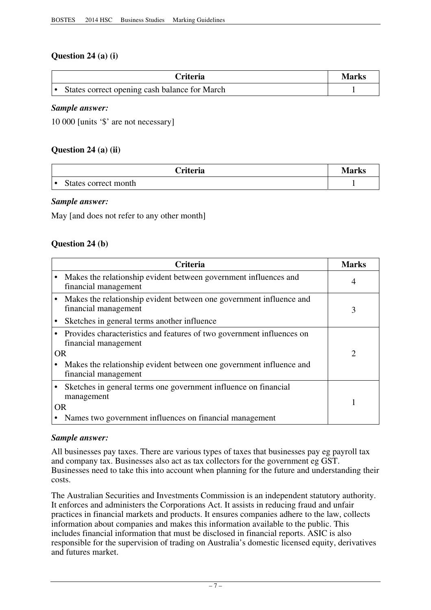# **Question 24 (a) (i)**

| <b>Criteria</b>                               | Marks |
|-----------------------------------------------|-------|
| States correct opening cash balance for March |       |

#### *Sample answer:*

10 000 [units '\$' are not necessary]

#### **Question 24 (a) (ii)**

| <b><i><u>Criteria</u></i></b> | <b>Marks</b> |
|-------------------------------|--------------|
| States correct month          |              |

#### *Sample answer:*

May [and does not refer to any other month]

#### **Question 24 (b)**

|    | Criteria                                                                                        | <b>Marks</b> |
|----|-------------------------------------------------------------------------------------------------|--------------|
|    | Makes the relationship evident between government influences and<br>financial management        |              |
|    | Makes the relationship evident between one government influence and<br>financial management     | 3            |
|    | Sketches in general terms another influence                                                     |              |
|    | • Provides characteristics and features of two government influences on<br>financial management |              |
| OR |                                                                                                 | റ            |
|    | Makes the relationship evident between one government influence and<br>financial management     |              |
|    | Sketches in general terms one government influence on financial<br>management                   |              |
|    | <b>OR</b>                                                                                       |              |
|    | Names two government influences on financial management                                         |              |

#### *Sample answer:*

All businesses pay taxes. There are various types of taxes that businesses pay eg payroll tax and company tax. Businesses also act as tax collectors for the government eg GST. Businesses need to take this into account when planning for the future and understanding their costs.

The Australian Securities and Investments Commission is an independent statutory authority. It enforces and administers the Corporations Act. It assists in reducing fraud and unfair practices in financial markets and products. It ensures companies adhere to the law, collects information about companies and makes this information available to the public. This includes financial information that must be disclosed in financial reports. ASIC is also responsible for the supervision of trading on Australia's domestic licensed equity, derivatives and futures market.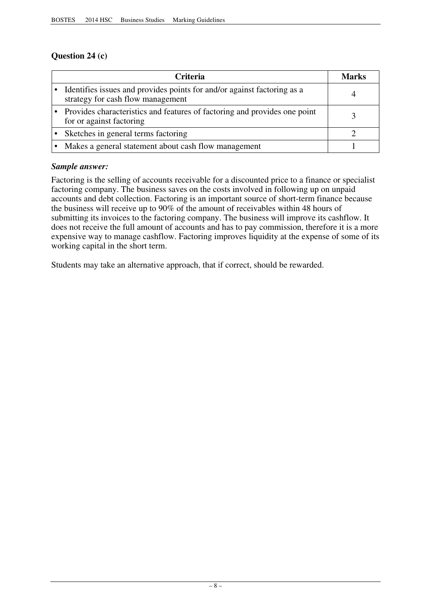# **Question 24 (c)**

| <b>Criteria</b>                                                                                              | Marks |
|--------------------------------------------------------------------------------------------------------------|-------|
| Identifies issues and provides points for and/or against factoring as a<br>strategy for cash flow management |       |
| Provides characteristics and features of factoring and provides one point<br>for or against factoring        |       |
| Sketches in general terms factoring                                                                          |       |
| Makes a general statement about cash flow management                                                         |       |

# *Sample answer:*

Factoring is the selling of accounts receivable for a discounted price to a finance or specialist factoring company. The business saves on the costs involved in following up on unpaid accounts and debt collection. Factoring is an important source of short-term finance because the business will receive up to 90% of the amount of receivables within 48 hours of submitting its invoices to the factoring company. The business will improve its cashflow. It does not receive the full amount of accounts and has to pay commission, therefore it is a more expensive way to manage cashflow. Factoring improves liquidity at the expense of some of its working capital in the short term.

Students may take an alternative approach, that if correct, should be rewarded.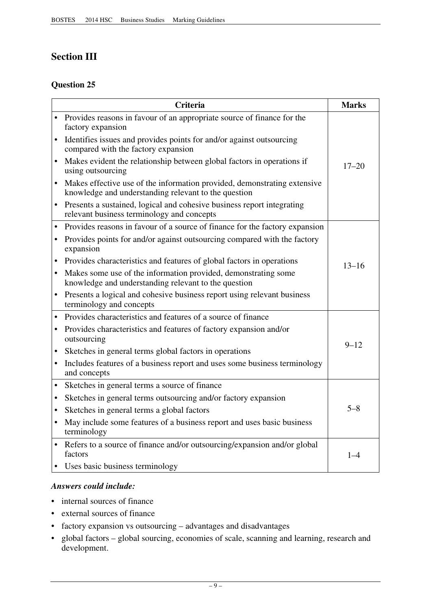# **Section III**

# **Question 25**

|           | <b>Criteria</b>                                                                                                                  | <b>Marks</b> |
|-----------|----------------------------------------------------------------------------------------------------------------------------------|--------------|
|           | Provides reasons in favour of an appropriate source of finance for the<br>factory expansion                                      |              |
| $\bullet$ | Identifies issues and provides points for and/or against outsourcing<br>compared with the factory expansion                      |              |
|           | Makes evident the relationship between global factors in operations if<br>using outsourcing                                      | $17 - 20$    |
|           | Makes effective use of the information provided, demonstrating extensive<br>knowledge and understanding relevant to the question |              |
| $\bullet$ | Presents a sustained, logical and cohesive business report integrating<br>relevant business terminology and concepts             |              |
| $\bullet$ | Provides reasons in favour of a source of finance for the factory expansion                                                      |              |
| $\bullet$ | Provides points for and/or against outsourcing compared with the factory<br>expansion                                            |              |
|           | Provides characteristics and features of global factors in operations                                                            | $13 - 16$    |
|           | Makes some use of the information provided, demonstrating some<br>knowledge and understanding relevant to the question           |              |
| $\bullet$ | Presents a logical and cohesive business report using relevant business<br>terminology and concepts                              |              |
|           | Provides characteristics and features of a source of finance                                                                     |              |
| $\bullet$ | Provides characteristics and features of factory expansion and/or<br>outsourcing                                                 | $9 - 12$     |
|           | Sketches in general terms global factors in operations                                                                           |              |
|           | Includes features of a business report and uses some business terminology<br>and concepts                                        |              |
| $\bullet$ | Sketches in general terms a source of finance                                                                                    |              |
|           | Sketches in general terms outsourcing and/or factory expansion                                                                   |              |
| $\bullet$ | Sketches in general terms a global factors                                                                                       | $5 - 8$      |
| $\bullet$ | May include some features of a business report and uses basic business<br>terminology                                            |              |
|           | Refers to a source of finance and/or outsourcing/expansion and/or global<br>factors                                              | $1 - 4$      |
|           | • Uses basic business terminology                                                                                                |              |

# *Answers could include:*

- internal sources of finance
- • external sources of finance
- factory expansion vs outsourcing advantages and disadvantages
- • global factors global sourcing, economies of scale, scanning and learning, research and development.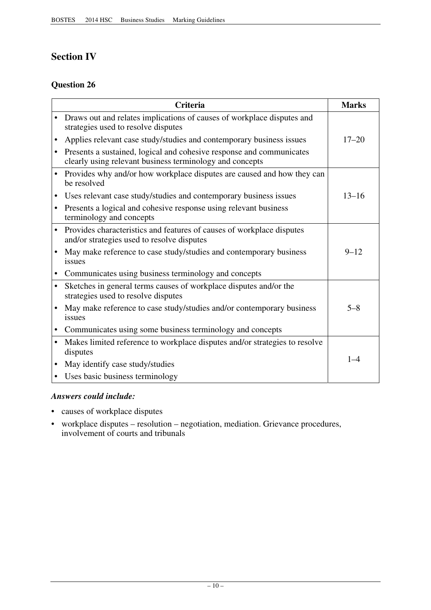# **Section IV**

# **Question 26**

| <b>Criteria</b> |                                                                                                                                  |           |  |
|-----------------|----------------------------------------------------------------------------------------------------------------------------------|-----------|--|
| $\bullet$       | Draws out and relates implications of causes of workplace disputes and<br>strategies used to resolve disputes                    |           |  |
| ٠               | Applies relevant case study/studies and contemporary business issues                                                             | $17 - 20$ |  |
| $\bullet$       | Presents a sustained, logical and cohesive response and communicates<br>clearly using relevant business terminology and concepts |           |  |
| $\bullet$       | Provides why and/or how workplace disputes are caused and how they can<br>be resolved                                            |           |  |
|                 | Uses relevant case study/studies and contemporary business issues                                                                | $13 - 16$ |  |
|                 | Presents a logical and cohesive response using relevant business<br>terminology and concepts                                     |           |  |
|                 | Provides characteristics and features of causes of workplace disputes<br>and/or strategies used to resolve disputes              |           |  |
|                 | May make reference to case study/studies and contemporary business<br>issues                                                     | $9 - 12$  |  |
|                 | Communicates using business terminology and concepts                                                                             |           |  |
| $\bullet$       | Sketches in general terms causes of workplace disputes and/or the<br>strategies used to resolve disputes                         |           |  |
|                 | May make reference to case study/studies and/or contemporary business<br>issues                                                  | $5 - 8$   |  |
|                 | Communicates using some business terminology and concepts                                                                        |           |  |
| $\bullet$       | Makes limited reference to workplace disputes and/or strategies to resolve<br>disputes                                           |           |  |
|                 | May identify case study/studies                                                                                                  | $1 - 4$   |  |
|                 | Uses basic business terminology                                                                                                  |           |  |

# *Answers could include:*

- • causes of workplace disputes
- workplace disputes resolution negotiation, mediation. Grievance procedures, involvement of courts and tribunals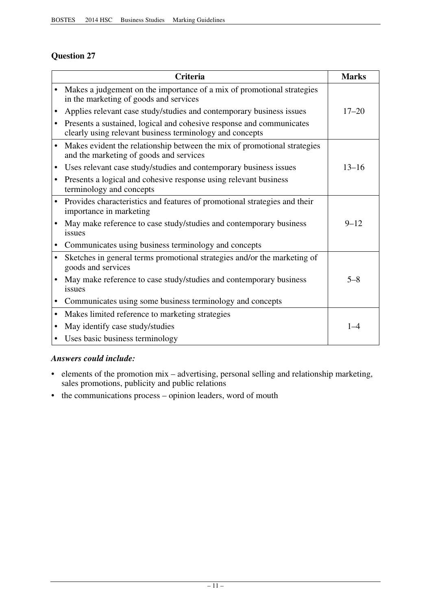# **Question 27**

|           | <b>Criteria</b>                                                                                                                  | <b>Marks</b> |
|-----------|----------------------------------------------------------------------------------------------------------------------------------|--------------|
|           | Makes a judgement on the importance of a mix of promotional strategies<br>in the marketing of goods and services                 |              |
| $\bullet$ | Applies relevant case study/studies and contemporary business issues                                                             | $17 - 20$    |
| $\bullet$ | Presents a sustained, logical and cohesive response and communicates<br>clearly using relevant business terminology and concepts |              |
| $\bullet$ | Makes evident the relationship between the mix of promotional strategies<br>and the marketing of goods and services              |              |
| $\bullet$ | Uses relevant case study/studies and contemporary business issues                                                                | $13 - 16$    |
| $\bullet$ | Presents a logical and cohesive response using relevant business<br>terminology and concepts                                     |              |
| $\bullet$ | Provides characteristics and features of promotional strategies and their<br>importance in marketing                             |              |
|           | May make reference to case study/studies and contemporary business<br>issues                                                     | $9 - 12$     |
| $\bullet$ | Communicates using business terminology and concepts                                                                             |              |
| $\bullet$ | Sketches in general terms promotional strategies and/or the marketing of<br>goods and services                                   |              |
|           | May make reference to case study/studies and contemporary business<br>issues                                                     | $5 - 8$      |
| $\bullet$ | Communicates using some business terminology and concepts                                                                        |              |
| $\bullet$ | Makes limited reference to marketing strategies                                                                                  |              |
| ٠         | May identify case study/studies                                                                                                  | $1 - 4$      |
|           | • Uses basic business terminology                                                                                                |              |

# *Answers could include:*

- elements of the promotion mix advertising, personal selling and relationship marketing, sales promotions, publicity and public relations
- the communications process opinion leaders, word of mouth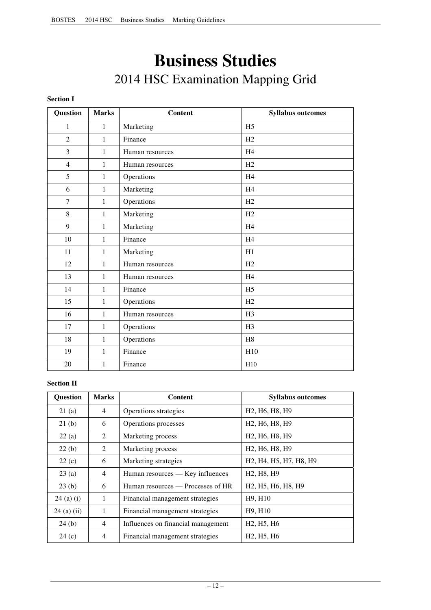# **Business Studies**  2014 HSC Examination Mapping Grid

#### **Section I**

| Question       | <b>Marks</b> | <b>Content</b>  | <b>Syllabus outcomes</b> |
|----------------|--------------|-----------------|--------------------------|
| $\mathbf{1}$   | $\mathbf{1}$ | Marketing       | H <sub>5</sub>           |
| $\overline{2}$ | 1            | Finance         | H <sub>2</sub>           |
| $\mathfrak{Z}$ | $\mathbf{1}$ | Human resources | H <sub>4</sub>           |
| $\overline{4}$ | $\mathbf{1}$ | Human resources | H2                       |
| 5              | $\mathbf{1}$ | Operations      | H <sub>4</sub>           |
| 6              | $\mathbf{1}$ | Marketing       | H <sub>4</sub>           |
| $\tau$         | $\mathbf{1}$ | Operations      | H2                       |
| $8\,$          | $\mathbf{1}$ | Marketing       | H2                       |
| 9              | $\mathbf{1}$ | Marketing       | H <sub>4</sub>           |
| 10             | 1            | Finance         | H <sub>4</sub>           |
| 11             | $\mathbf{1}$ | Marketing       | H1                       |
| 12             | 1            | Human resources | H2                       |
| 13             | $\mathbf{1}$ | Human resources | H4                       |
| 14             | $\mathbf{1}$ | Finance         | H <sub>5</sub>           |
| 15             | $\mathbf{1}$ | Operations      | H2                       |
| 16             | $\mathbf{1}$ | Human resources | H <sub>3</sub>           |
| 17             | $\mathbf{1}$ | Operations      | H <sub>3</sub>           |
| 18             | $\mathbf{1}$ | Operations      | H8                       |
| 19             | $\mathbf{1}$ | Finance         | H10                      |
| 20             | 1            | Finance         | H10                      |

#### **Section II**

| Question      | <b>Marks</b>   | Content                            | <b>Syllabus outcomes</b>                                                                            |
|---------------|----------------|------------------------------------|-----------------------------------------------------------------------------------------------------|
| 21(a)         | 4              | Operations strategies              | H <sub>2</sub> , H <sub>6</sub> , H <sub>8</sub> , H <sub>9</sub>                                   |
| 21(b)         | 6              | Operations processes               | H <sub>2</sub> , H <sub>6</sub> , H <sub>8</sub> , H <sub>9</sub>                                   |
| 22(a)         | 2              | Marketing process                  | H <sub>2</sub> , H <sub>6</sub> , H <sub>8</sub> , H <sub>9</sub>                                   |
| 22(b)         | 2              | Marketing process                  | H <sub>2</sub> , H <sub>6</sub> , H <sub>8</sub> , H <sub>9</sub>                                   |
| 22(c)         | 6              | Marketing strategies               | H <sub>2</sub> , H <sub>4</sub> , H <sub>5</sub> , H <sub>7</sub> , H <sub>8</sub> , H <sub>9</sub> |
| 23(a)         | $\overline{4}$ | Human resources — Key influences   | H <sub>2</sub> , H <sub>8</sub> , H <sub>9</sub>                                                    |
| 23(b)         | 6              | Human resources - Processes of HR  | H <sub>2</sub> , H <sub>5</sub> , H <sub>6</sub> , H <sub>8</sub> , H <sub>9</sub>                  |
| $24$ (a) (i)  | $\mathbf{1}$   | Financial management strategies    | H9, H10                                                                                             |
| $24$ (a) (ii) | 1              | Financial management strategies    | H9, H10                                                                                             |
| 24(b)         | 4              | Influences on financial management | H <sub>2</sub> , H <sub>5</sub> , H <sub>6</sub>                                                    |
| 24(c)         | $\overline{4}$ | Financial management strategies    | H <sub>2</sub> , H <sub>5</sub> , H <sub>6</sub>                                                    |